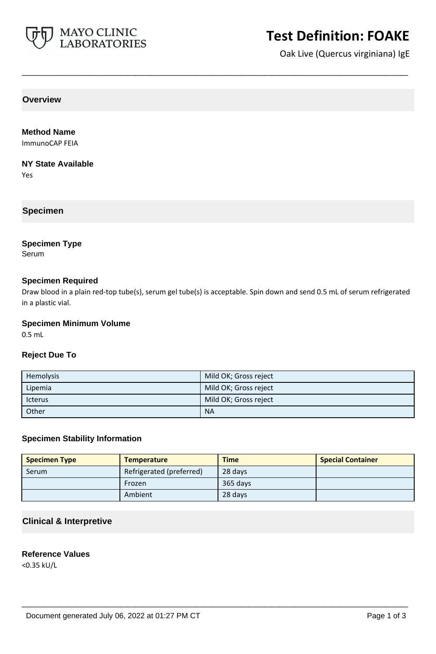

## **Test Definition: FOAKE**

Oak Live (Quercus virginiana) IgE

**Overview**

#### **Method Name**

ImmunoCAP FEIA

#### **NY State Available**

Yes

#### **Specimen**

### **Specimen Type**

Serum

#### **Specimen Required**

Draw blood in a plain red-top tube(s), serum gel tube(s) is acceptable. Spin down and send 0.5 mL of serum refrigerated in a plastic vial.

**\_\_\_\_\_\_\_\_\_\_\_\_\_\_\_\_\_\_\_\_\_\_\_\_\_\_\_\_\_\_\_\_\_\_\_\_\_\_\_\_\_\_\_\_\_\_\_\_\_\_\_**

#### **Specimen Minimum Volume**

0.5 mL

#### **Reject Due To**

| Hemolysis      | Mild OK; Gross reject |
|----------------|-----------------------|
| Lipemia        | Mild OK; Gross reject |
| <b>Icterus</b> | Mild OK; Gross reject |
| Other          | <b>NA</b>             |

#### **Specimen Stability Information**

| <b>Specimen Type</b> | <b>Temperature</b>       | <b>Time</b> | <b>Special Container</b> |
|----------------------|--------------------------|-------------|--------------------------|
| Serum                | Refrigerated (preferred) | 28 days     |                          |
|                      | Frozen                   | 365 days    |                          |
|                      | Ambient                  | 28 days     |                          |

**\_\_\_\_\_\_\_\_\_\_\_\_\_\_\_\_\_\_\_\_\_\_\_\_\_\_\_\_\_\_\_\_\_\_\_\_\_\_\_\_\_\_\_\_\_\_\_\_\_\_\_**

#### **Clinical & Interpretive**

#### **Reference Values**

<0.35 kU/L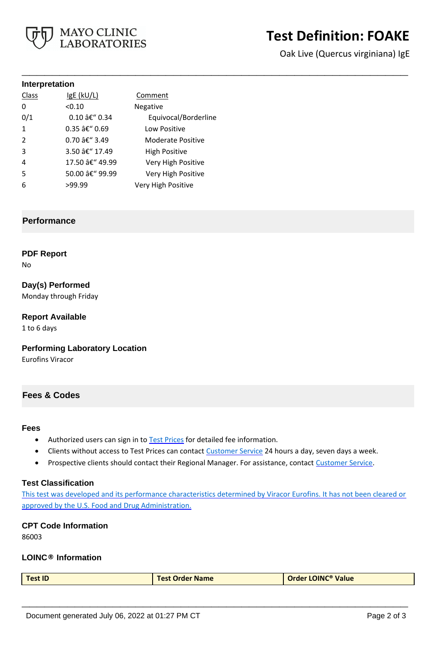

# **Test Definition: FOAKE**

Oak Live (Quercus virginiana) IgE

#### **Interpretation**

| Class          | $lgE$ ( $kU/L$ ) | Comment              |
|----------------|------------------|----------------------|
| 0              | < 0.10           | Negative             |
| 0/1            | 0.10 â€" 0.34    | Equivocal/Borderline |
| $\mathbf{1}$   | 0.35 – 0.69      | Low Positive         |
| $\mathcal{P}$  | 0.70 â€" 3.49    | Moderate Positive    |
| 3              | 3.50 â€" 17.49   | <b>High Positive</b> |
| $\overline{4}$ | 17.50 â€" 49.99  | Very High Positive   |
| .5             | 50.00 â€" 99.99  | Very High Positive   |
| 6              | >99.99           | Very High Positive   |

#### **Performance**

#### **PDF Report**

No

### **Day(s) Performed**

Monday through Friday

#### **Report Available**

1 to 6 days

#### **Performing Laboratory Location**

Eurofins Viracor

#### **Fees & Codes**

#### **Fees**

- Authorized users can sign in to [Test Prices](https://www.mayocliniclabs.com/customer-service/client-price-lookup/index.html?unit_code=FOAKE) for detailed fee information.
- Clients without access to Test Prices can contact [Customer Service](http://www.mayocliniclabs.com/customer-service/contacts.html) 24 hours a day, seven days a week.

**\_\_\_\_\_\_\_\_\_\_\_\_\_\_\_\_\_\_\_\_\_\_\_\_\_\_\_\_\_\_\_\_\_\_\_\_\_\_\_\_\_\_\_\_\_\_\_\_\_\_\_**

• Prospective clients should contact their Regional Manager. For assistance, contact [Customer Service.](http://www.mayocliniclabs.com/customer-service/contacts.html)

#### **Test Classification**

This test was developed and its performance characteristics determined by Viracor Eurofins. It has not been cleared or approved by the U.S. Food and Drug Administration.

#### **CPT Code Information**

86003

#### **LOINC® Information**

| <b>Test ID</b> | <b>Test Order Name</b> | <b>Order LOINC<sup>®</sup> Value</b> |
|----------------|------------------------|--------------------------------------|
|----------------|------------------------|--------------------------------------|

**\_\_\_\_\_\_\_\_\_\_\_\_\_\_\_\_\_\_\_\_\_\_\_\_\_\_\_\_\_\_\_\_\_\_\_\_\_\_\_\_\_\_\_\_\_\_\_\_\_\_\_**